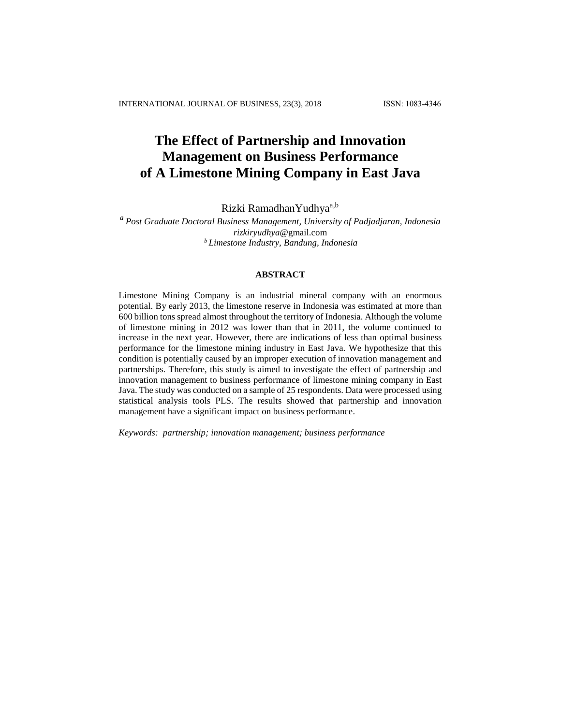# **The Effect of Partnership and Innovation Management on Business Performance of A Limestone Mining Company in East Java**

Rizki RamadhanYudhya<sup>a,b</sup>

# *<sup>a</sup> Post Graduate Doctoral Business Management, University of Padjadjaran, Indonesia rizkiryudhya*@gmail.com *<sup>b</sup> Limestone Industry, Bandung, Indonesia*

## **ABSTRACT**

Limestone Mining Company is an industrial mineral company with an enormous potential. By early 2013, the limestone reserve in Indonesia was estimated at more than 600 billion tons spread almost throughout the territory of Indonesia. Although the volume of limestone mining in 2012 was lower than that in 2011, the volume continued to increase in the next year. However, there are indications of less than optimal business performance for the limestone mining industry in East Java. We hypothesize that this condition is potentially caused by an improper execution of innovation management and partnerships. Therefore, this study is aimed to investigate the effect of partnership and innovation management to business performance of limestone mining company in East Java. The study was conducted on a sample of 25 respondents. Data were processed using statistical analysis tools PLS. The results showed that partnership and innovation management have a significant impact on business performance.

*Keywords: partnership; innovation management; business performance*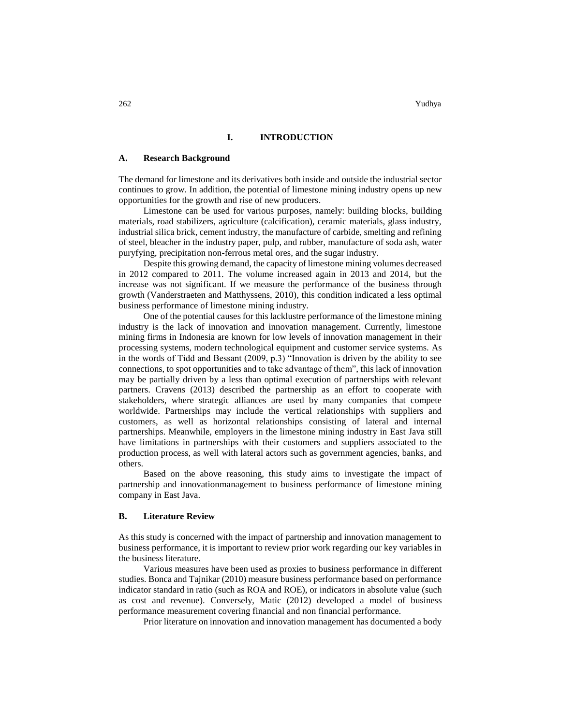262 Yudhya

### **I. INTRODUCTION**

#### **A. Research Background**

The demand for limestone and its derivatives both inside and outside the industrial sector continues to grow. In addition, the potential of limestone mining industry opens up new opportunities for the growth and rise of new producers.

Limestone can be used for various purposes, namely: building blocks, building materials, road stabilizers, agriculture (calcification), ceramic materials, glass industry, industrial silica brick, cement industry, the manufacture of carbide, smelting and refining of steel, bleacher in the industry paper, pulp, and rubber, manufacture of soda ash, water puryfying, precipitation non-ferrous metal ores, and the sugar industry.

Despite this growing demand, the capacity of limestone mining volumes decreased in 2012 compared to 2011. The volume increased again in 2013 and 2014, but the increase was not significant. If we measure the performance of the business through growth (Vanderstraeten and Matthyssens, 2010), this condition indicated a less optimal business performance of limestone mining industry.

One of the potential causes for this lacklustre performance of the limestone mining industry is the lack of innovation and innovation management. Currently, limestone mining firms in Indonesia are known for low levels of innovation management in their processing systems, modern technological equipment and customer service systems. As in the words of Tidd and Bessant (2009, p.3) "Innovation is driven by the ability to see connections, to spot opportunities and to take advantage of them", this lack of innovation may be partially driven by a less than optimal execution of partnerships with relevant partners. Cravens (2013) described the partnership as an effort to cooperate with stakeholders, where strategic alliances are used by many companies that compete worldwide. Partnerships may include the vertical relationships with suppliers and customers, as well as horizontal relationships consisting of lateral and internal partnerships. Meanwhile, employers in the limestone mining industry in East Java still have limitations in partnerships with their customers and suppliers associated to the production process, as well with lateral actors such as government agencies, banks, and others.

Based on the above reasoning, this study aims to investigate the impact of partnership and innovationmanagement to business performance of limestone mining company in East Java.

#### **B. Literature Review**

As this study is concerned with the impact of partnership and innovation management to business performance, it is important to review prior work regarding our key variables in the business literature.

Various measures have been used as proxies to business performance in different studies. Bonca and Tajnikar (2010) measure business performance based on performance indicator standard in ratio (such as ROA and ROE), or indicators in absolute value (such as cost and revenue). Conversely, Matic (2012) developed a model of business performance measurement covering financial and non financial performance.

Prior literature on innovation and innovation management has documented a body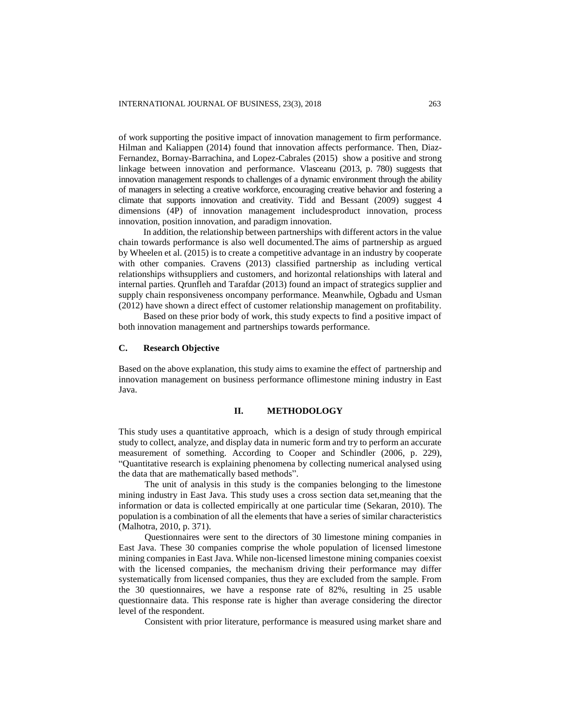of work supporting the positive impact of innovation management to firm performance. Hilman and Kaliappen (2014) found that innovation affects performance. Then, Diaz-Fernandez, Bornay-Barrachina, and Lopez-Cabrales (2015) show a positive and strong linkage between innovation and performance. Vlasceanu (2013, p. 780) suggests that innovation management responds to challenges of a dynamic environment through the ability of managers in selecting a creative workforce, encouraging creative behavior and fostering a climate that supports innovation and creativity. Tidd and Bessant (2009) suggest 4 dimensions (4P) of innovation management includesproduct innovation, process innovation, position innovation, and paradigm innovation.

In addition, the relationship between partnerships with different actors in the value chain towards performance is also well documented.The aims of partnership as argued by Wheelen et al. (2015) is to create a competitive advantage in an industry by cooperate with other companies. Cravens (2013) classified partnership as including vertical relationships withsuppliers and customers, and horizontal relationships with lateral and internal parties. Qrunfleh and Tarafdar (2013) found an impact of strategics supplier and supply chain responsiveness oncompany performance. Meanwhile, Ogbadu and Usman (2012) have shown a direct effect of customer relationship management on profitability.

Based on these prior body of work, this study expects to find a positive impact of both innovation management and partnerships towards performance.

### **C. Research Objective**

Based on the above explanation, this study aims to examine the effect of partnership and innovation management on business performance oflimestone mining industry in East Java.

#### **II. METHODOLOGY**

This study uses a quantitative approach, which is a design of study through empirical study to collect, analyze, and display data in numeric form and try to perform an accurate measurement of something. According to Cooper and Schindler (2006, p. 229), "Quantitative research is explaining phenomena by collecting numerical analysed using the data that are mathematically based methods".

The unit of analysis in this study is the companies belonging to the limestone mining industry in East Java. This study uses a cross section data set,meaning that the information or data is collected empirically at one particular time (Sekaran, 2010). The population is a combination of all the elements that have a series of similar characteristics (Malhotra, 2010, p. 371).

Questionnaires were sent to the directors of 30 limestone mining companies in East Java. These 30 companies comprise the whole population of licensed limestone mining companies in East Java. While non-licensed limestone mining companies coexist with the licensed companies, the mechanism driving their performance may differ systematically from licensed companies, thus they are excluded from the sample. From the 30 questionnaires, we have a response rate of 82%, resulting in 25 usable questionnaire data. This response rate is higher than average considering the director level of the respondent.

Consistent with prior literature, performance is measured using market share and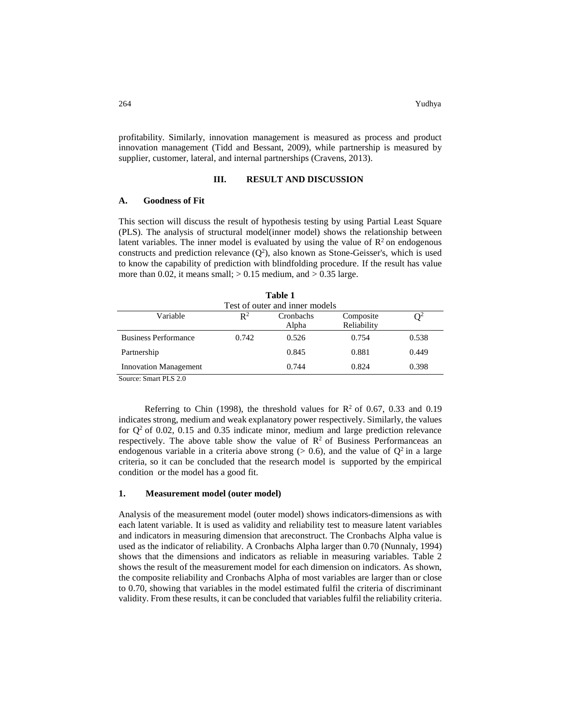profitability. Similarly, innovation management is measured as process and product innovation management (Tidd and Bessant, 2009), while partnership is measured by supplier, customer, lateral, and internal partnerships (Cravens, 2013).

## **III. RESULT AND DISCUSSION**

### **A. Goodness of Fit**

This section will discuss the result of hypothesis testing by using Partial Least Square (PLS). The analysis of structural model(inner model) shows the relationship between latent variables. The inner model is evaluated by using the value of  $\mathbb{R}^2$  on endogenous constructs and prediction relevance  $(Q^2)$ , also known as Stone-Geisser's, which is used to know the capability of prediction with blindfolding procedure. If the result has value more than 0.02, it means small;  $> 0.15$  medium, and  $> 0.35$  large.

|                                                   |                | Table 1            |                          |                |
|---------------------------------------------------|----------------|--------------------|--------------------------|----------------|
| Test of outer and inner models                    |                |                    |                          |                |
| Variable                                          | $\mathbb{R}^2$ | Cronbachs<br>Alpha | Composite<br>Reliability | $\mathrm{O}^2$ |
| <b>Business Performance</b>                       | 0.742          | 0.526              | 0.754                    | 0.538          |
| Partnership                                       |                | 0.845              | 0.881                    | 0.449          |
| <b>Innovation Management</b>                      |                | 0.744              | 0.824                    | 0.398          |
| $C_{\text{out}}$ $C_{\text{max}}$ $D$ $C$ $D$ $D$ |                |                    |                          |                |

**Table 1** 

Source: Smart PLS 2.0

Referring to Chin (1998), the threshold values for  $R^2$  of 0.67, 0.33 and 0.19 indicates strong, medium and weak explanatory power respectively. Similarly, the values for  $Q^2$  of 0.02, 0.15 and 0.35 indicate minor, medium and large prediction relevance respectively. The above table show the value of  $\mathbb{R}^2$  of Business Performanceas an endogenous variable in a criteria above strong ( $> 0.6$ ), and the value of  $Q^2$  in a large criteria, so it can be concluded that the research model is supported by the empirical condition or the model has a good fit.

#### **1. Measurement model (outer model)**

Analysis of the measurement model (outer model) shows indicators-dimensions as with each latent variable. It is used as validity and reliability test to measure latent variables and indicators in measuring dimension that areconstruct. The Cronbachs Alpha value is used as the indicator of reliability. A Cronbachs Alpha larger than 0.70 (Nunnaly, 1994) shows that the dimensions and indicators as reliable in measuring variables. Table 2 shows the result of the measurement model for each dimension on indicators. As shown, the composite reliability and Cronbachs Alpha of most variables are larger than or close to 0.70, showing that variables in the model estimated fulfil the criteria of discriminant validity. From these results, it can be concluded that variables fulfil the reliability criteria.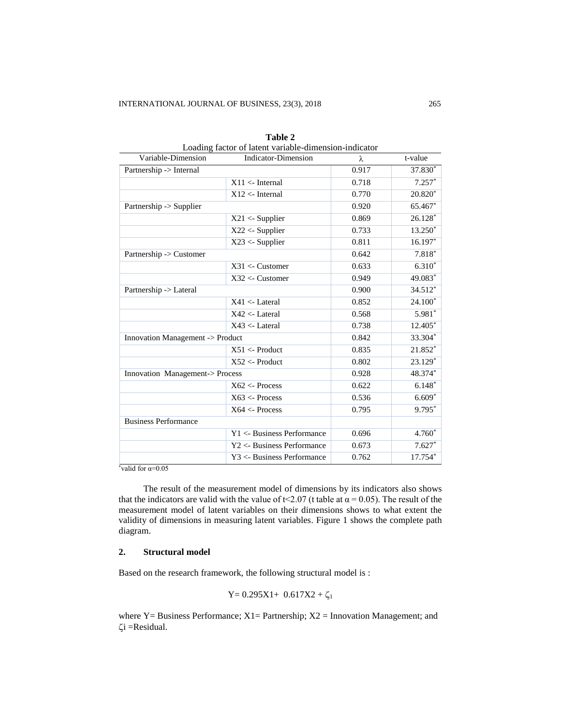| Variable-Dimension               | Louding factor of fatent variable dimension mercator<br><b>Indicator-Dimension</b> | λ     | t-value                |
|----------------------------------|------------------------------------------------------------------------------------|-------|------------------------|
| Partnership -> Internal          |                                                                                    | 0.917 | 37.830*                |
|                                  | $X11 \leftarrow$ Internal                                                          | 0.718 | $7.257*$               |
|                                  | $X12 \leftarrow$ Internal                                                          | 0.770 | 20.820*                |
| Partnership -> Supplier          |                                                                                    | 0.920 | 65.467*                |
|                                  | $X21 <$ - Supplier                                                                 | 0.869 | $26.128*$              |
|                                  | $X22 <$ - Supplier                                                                 | 0.733 | 13.250*                |
|                                  | $X23 <$ - Supplier                                                                 | 0.811 | $16.197*$              |
| Partnership -> Customer          |                                                                                    | 0.642 | $7.818*$               |
|                                  | $X31 <$ - Customer                                                                 | 0.633 | $6.3\overline{10}^{*}$ |
|                                  | $X32 <$ - Customer                                                                 | 0.949 | 49.083*                |
| Partnership -> Lateral           |                                                                                    | 0.900 | 34.512*                |
|                                  | $X41 <$ - Lateral                                                                  | 0.852 | $24.100*$              |
|                                  | $X42 <$ -Lateral                                                                   | 0.568 | $5.981*$               |
|                                  | $X43 <$ - Lateral                                                                  | 0.738 | 12.405*                |
| Innovation Management -> Product |                                                                                    | 0.842 | 33.304*                |
|                                  | $X51 <$ - Product                                                                  | 0.835 | 21.852*                |
|                                  | $X52 \leftarrow$ Product                                                           | 0.802 | 23.129*                |
| Innovation Management-> Process  |                                                                                    | 0.928 | 48.374*                |
|                                  | X62 < Process                                                                      | 0.622 | $6.148*$               |
|                                  | $X63 \leftarrow Process$                                                           | 0.536 | $6.609*$               |
|                                  | X64 < Process                                                                      | 0.795 | 9.795*                 |
| <b>Business Performance</b>      |                                                                                    |       |                        |
|                                  | Y1 <- Business Performance                                                         | 0.696 | $4.760*$               |
|                                  | Y2 <- Business Performance                                                         | 0.673 | $7.627*$               |
|                                  | Y3 <- Business Performance                                                         | 0.762 | 17.754*                |

| Table 2                                               |
|-------------------------------------------------------|
| Loading factor of latent variable-dimension-indicator |

\*valid for  $\alpha=0.05$ 

The result of the measurement model of dimensions by its indicators also shows that the indicators are valid with the value of t<2.07 (t table at  $\alpha$  = 0.05). The result of the measurement model of latent variables on their dimensions shows to what extent the validity of dimensions in measuring latent variables. Figure 1 shows the complete path diagram.

# **2. Structural model**

Based on the research framework, the following structural model is :

$$
Y=0.295X1+\ 0.617X2+\zeta_1
$$

where  $Y = B$ usiness Performance;  $X1 =$  Partnership;  $X2 =$  Innovation Management; and  $\zeta$ i =Residual.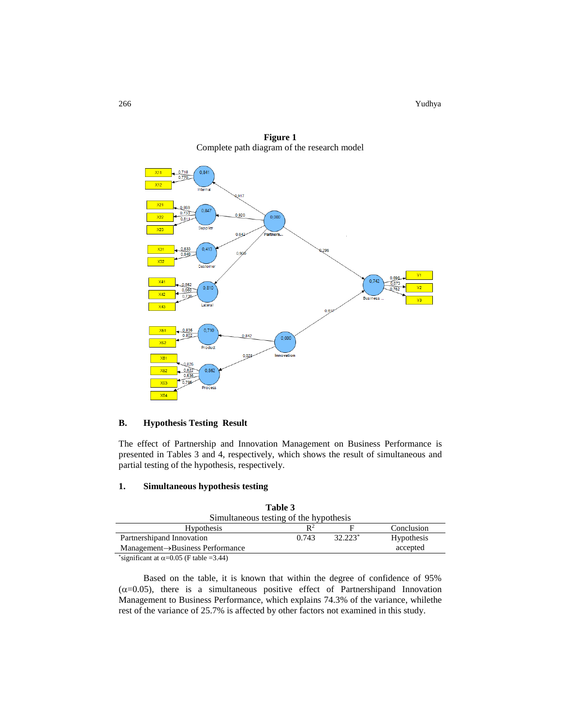266 Yudhya Nashrida a ta ƙasar ƙasar ƙasar ƙasar Ingila. Yudhya masu ƙasar ƙasar ƙasar ƙasar ƙasar ƙasar ƙasa



**Figure 1** Complete path diagram of the research model

## **B. Hypothesis Testing Result**

The effect of Partnership and Innovation Management on Business Performance is presented in Tables 3 and 4, respectively, which shows the result of simultaneous and partial testing of the hypothesis, respectively.

# **1. Simultaneous hypothesis testing**

| Table 3                                       |       |           |            |
|-----------------------------------------------|-------|-----------|------------|
| Simultaneous testing of the hypothesis        |       |           |            |
| <b>Hypothesis</b>                             | $R^2$ |           | Conclusion |
| Partnership and Innovation                    | 0.743 | $32.223*$ | Hypothesis |
| $Management \rightarrow Business Performance$ |       |           | accepted   |
|                                               |       |           |            |

\*significant at  $\alpha$ =0.05 (F table =3.44)

Based on the table, it is known that within the degree of confidence of 95%  $(\alpha=0.05)$ , there is a simultaneous positive effect of Partnershipand Innovation Management to Business Performance, which explains 74.3% of the variance, whilethe rest of the variance of 25.7% is affected by other factors not examined in this study.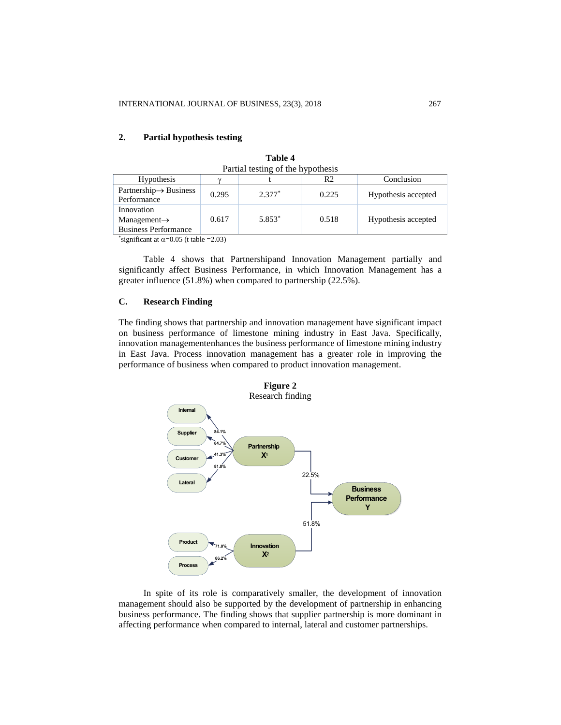| Partial testing of the hypothesis                                     |       |          |       |                     |
|-----------------------------------------------------------------------|-------|----------|-------|---------------------|
| <b>Hypothesis</b>                                                     |       |          | R2    | Conclusion          |
| $Partnership \rightarrow Business$<br>Performance                     | 0.295 | $2.377*$ | 0.225 | Hypothesis accepted |
| Innovation<br>$Management \rightarrow$<br><b>Business Performance</b> | 0.617 | 5.853*   | 0.518 | Hypothesis accepted |

**Table 4**

# **2. Partial hypothesis testing**

\*significant at  $\alpha$ =0.05 (t table =2.03)

Table 4 shows that Partnershipand Innovation Management partially and significantly affect Business Performance, in which Innovation Management has a greater influence (51.8%) when compared to partnership (22.5%).

## **C. Research Finding**

The finding shows that partnership and innovation management have significant impact on business performance of limestone mining industry in East Java. Specifically, innovation managementenhances the business performance of limestone mining industry in East Java. Process innovation management has a greater role in improving the performance of business when compared to product innovation management.



In spite of its role is comparatively smaller, the development of innovation management should also be supported by the development of partnership in enhancing business performance. The finding shows that supplier partnership is more dominant in affecting performance when compared to internal, lateral and customer partnerships.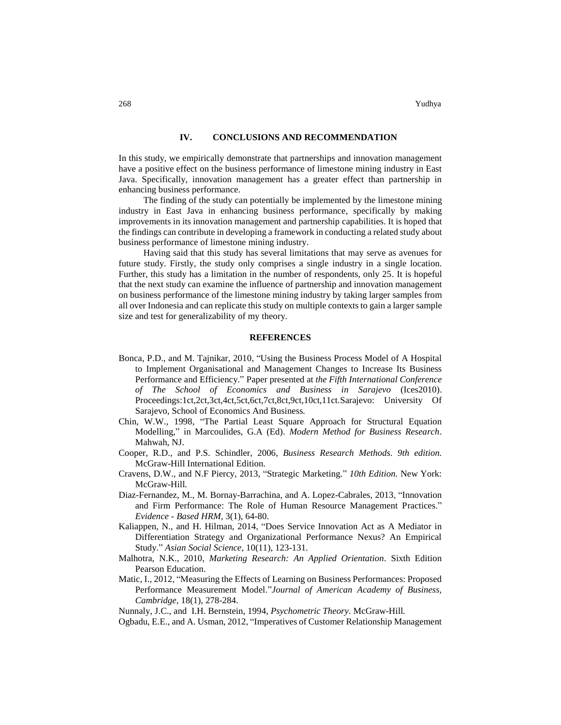#### **IV. CONCLUSIONS AND RECOMMENDATION**

In this study, we empirically demonstrate that partnerships and innovation management have a positive effect on the business performance of limestone mining industry in East Java. Specifically, innovation management has a greater effect than partnership in enhancing business performance.

The finding of the study can potentially be implemented by the limestone mining industry in East Java in enhancing business performance, specifically by making improvements in its innovation management and partnership capabilities. It is hoped that the findings can contribute in developing a framework in conducting a related study about business performance of limestone mining industry.

Having said that this study has several limitations that may serve as avenues for future study. Firstly, the study only comprises a single industry in a single location. Further, this study has a limitation in the number of respondents, only 25. It is hopeful that the next study can examine the influence of partnership and innovation management on business performance of the limestone mining industry by taking larger samples from all over Indonesia and can replicate this study on multiple contexts to gain a larger sample size and test for generalizability of my theory.

## **REFERENCES**

- Bonca, P.D., and M. Tajnikar, 2010, "Using the Business Process Model of A Hospital to Implement Organisational and Management Changes to Increase Its Business Performance and Efficiency." Paper presented at *the Fifth International Conference of The School of Economics and Business in Sarajevo* (Ices2010). Proceedings:1ct,2ct,3ct,4ct,5ct,6ct,7ct,8ct,9ct,10ct,11ct.Sarajevo: University Of Sarajevo, School of Economics And Business*.*
- Chin, W.W., 1998, "The Partial Least Square Approach for Structural Equation Modelling," in Marcoulides, G.A (Ed). *Modern Method for Business Research*. Mahwah, NJ.
- Cooper, R.D., and P.S. Schindler, 2006, *Business Research Methods. 9th edition.* McGraw-Hill International Edition.
- Cravens, D.W., and N.F Piercy, 2013, "Strategic Marketing*.*" *10th Edition.* New York: McGraw-Hill*.*
- Diaz-Fernandez, M., M. Bornay-Barrachina, and A. Lopez-Cabrales, 2013, "Innovation and Firm Performance: The Role of Human Resource Management Practices." *Evidence - Based HRM,* 3(1), 64-80.
- Kaliappen, N., and H. Hilman, 2014, "Does Service Innovation Act as A Mediator in Differentiation Strategy and Organizational Performance Nexus? An Empirical Study." *Asian Social Science,* 10(11), 123-131.
- Malhotra, N.K., 2010, *Marketing Research: An Applied Orientation*. Sixth Edition Pearson Education.
- Matic, I., 2012, "Measuring the Effects of Learning on Business Performances: Proposed Performance Measurement Model."*Journal of American Academy of Business, Cambridge,* 18(1), 278-284.

Nunnaly, J.C., and I.H. Bernstein, 1994, *Psychometric Theory*. McGraw-Hill*.*

Ogbadu, E.E., and A. Usman, 2012, "Imperatives of Customer Relationship Management